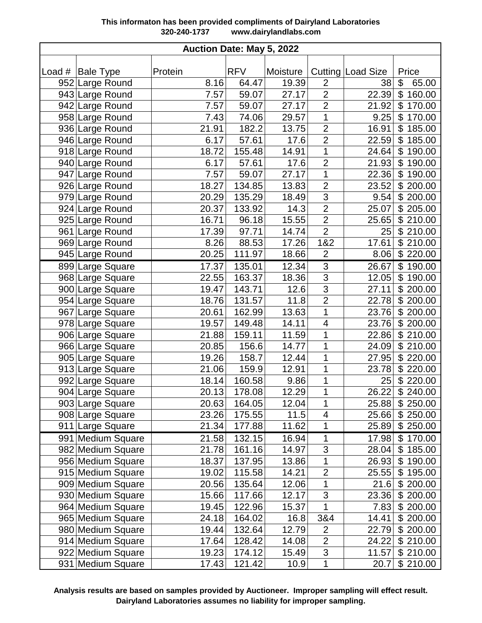| Auction Date: May 5, 2022 |                    |         |            |          |                          |                   |             |  |
|---------------------------|--------------------|---------|------------|----------|--------------------------|-------------------|-------------|--|
|                           |                    |         |            |          |                          |                   |             |  |
|                           | Load #   Bale Type | Protein | <b>RFV</b> | Moisture |                          | Cutting Load Size | Price       |  |
|                           | 952 Large Round    | 8.16    | 64.47      | 19.39    | $\overline{2}$           | 38                | \$<br>65.00 |  |
|                           | 943 Large Round    | 7.57    | 59.07      | 27.17    | $\overline{2}$           | 22.39             | \$160.00    |  |
|                           | 942 Large Round    | 7.57    | 59.07      | 27.17    | $\overline{2}$           | 21.92             | \$170.00    |  |
|                           | 958 Large Round    | 7.43    | 74.06      | 29.57    | $\overline{1}$           | 9.25              | \$170.00    |  |
|                           | 936 Large Round    | 21.91   | 182.2      | 13.75    | $\overline{2}$           | 16.91             | \$185.00    |  |
|                           | 946 Large Round    | 6.17    | 57.61      | 17.6     | $\overline{2}$           | 22.59             | \$185.00    |  |
|                           | 918 Large Round    | 18.72   | 155.48     | 14.91    | 1                        | 24.64             | \$190.00    |  |
|                           | 940 Large Round    | 6.17    | 57.61      | 17.6     | $\overline{2}$           | 21.93             | \$190.00    |  |
|                           | 947 Large Round    | 7.57    | 59.07      | 27.17    | 1                        | 22.36             | \$190.00    |  |
|                           | 926 Large Round    | 18.27   | 134.85     | 13.83    | $\overline{2}$           | 23.52             | \$200.00    |  |
|                           | 979 Large Round    | 20.29   | 135.29     | 18.49    | $\overline{3}$           | 9.54              | \$200.00    |  |
|                           | 924 Large Round    | 20.37   | 133.92     | 14.3     | $\overline{2}$           | 25.07             | \$205.00    |  |
|                           | 925 Large Round    | 16.71   | 96.18      | 15.55    | $\overline{2}$           | 25.65             | \$210.00    |  |
|                           | 961 Large Round    | 17.39   | 97.71      | 14.74    | $\overline{2}$           | 25                | \$210.00    |  |
|                           | 969 Large Round    | 8.26    | 88.53      | 17.26    | 1&2                      | 17.61             | \$210.00    |  |
|                           | 945 Large Round    | 20.25   | 111.97     | 18.66    | $\overline{2}$           | 8.06              | \$220.00    |  |
|                           | 899 Large Square   | 17.37   | 135.01     | 12.34    | $\overline{3}$           | 26.67             | \$190.00    |  |
|                           | 968 Large Square   | 22.55   | 163.37     | 18.36    | $\overline{3}$           | 12.05             | \$190.00    |  |
|                           | 900 Large Square   | 19.47   | 143.71     | 12.6     | $\overline{3}$           | 27.11             | \$200.00    |  |
|                           | 954 Large Square   | 18.76   | 131.57     | 11.8     | $\overline{2}$           | 22.78             | \$200.00    |  |
|                           | 967 Large Square   | 20.61   | 162.99     | 13.63    | 1                        | 23.76             | \$200.00    |  |
|                           | 978 Large Square   | 19.57   | 149.48     | 14.11    | $\overline{\mathbf{4}}$  | 23.76             | \$200.00    |  |
|                           | 906 Large Square   | 21.88   | 159.11     | 11.59    | 1                        | 22.86             | \$210.00    |  |
|                           | 966 Large Square   | 20.85   | 156.6      | 14.77    | 1                        | 24.09             | \$210.00    |  |
|                           | 905 Large Square   | 19.26   | 158.7      | 12.44    | 1                        | 27.95             | \$220.00    |  |
|                           | 913 Large Square   | 21.06   | 159.9      | 12.91    | 1                        | 23.78             | \$220.00    |  |
|                           | 992 Large Square   | 18.14   | 160.58     | 9.86     | 1                        | 25                | \$220.00    |  |
|                           | 904 Large Square   | 20.13   | 178.08     | 12.29    | 1                        | 26.22             | \$240.00    |  |
|                           | 903 Large Square   | 20.63   | 164.05     | 12.04    | 1                        | 25.88             | \$250.00    |  |
|                           | 908 Large Square   | 23.26   | 175.55     | 11.5     | $\overline{\mathcal{A}}$ | 25.66             | \$250.00    |  |
|                           | 911 Large Square   | 21.34   | 177.88     | 11.62    | 1                        | 25.89             | \$250.00    |  |
|                           | 991 Medium Square  | 21.58   | 132.15     | 16.94    | 1                        | 17.98             | \$170.00    |  |
|                           | 982 Medium Square  | 21.78   | 161.16     | 14.97    | 3                        | 28.04             | \$185.00    |  |
|                           | 956 Medium Square  | 18.37   | 137.95     | 13.86    | 1                        | 26.93             | \$190.00    |  |
|                           | 915 Medium Square  | 19.02   | 115.58     | 14.21    | $\overline{2}$           | 25.55             | \$195.00    |  |
|                           | 909 Medium Square  | 20.56   | 135.64     | 12.06    | 1                        | 21.6              | \$200.00    |  |
|                           | 930 Medium Square  | 15.66   | 117.66     | 12.17    | 3                        | 23.36             | \$200.00    |  |
|                           | 964 Medium Square  | 19.45   | 122.96     | 15.37    | 1                        | 7.83              | \$200.00    |  |
|                           | 965 Medium Square  | 24.18   | 164.02     | 16.8     | 3&4                      | 14.41             | \$200.00    |  |
|                           | 980 Medium Square  | 19.44   | 132.64     | 12.79    | $\mathbf{2}$             | 22.79             | \$200.00    |  |
|                           | 914 Medium Square  | 17.64   | 128.42     | 14.08    | $\overline{2}$           | 24.22             | \$210.00    |  |
|                           | 922 Medium Square  | 19.23   | 174.12     | 15.49    | $\overline{3}$           | 11.57             | \$210.00    |  |
|                           |                    |         |            |          | 1                        |                   |             |  |
|                           | 931 Medium Square  | 17.43   | 121.42     | 10.9     |                          | 20.7              | \$210.00    |  |

**Analysis results are based on samples provided by Auctioneer. Improper sampling will effect result. Dairyland Laboratories assumes no liability for improper sampling.**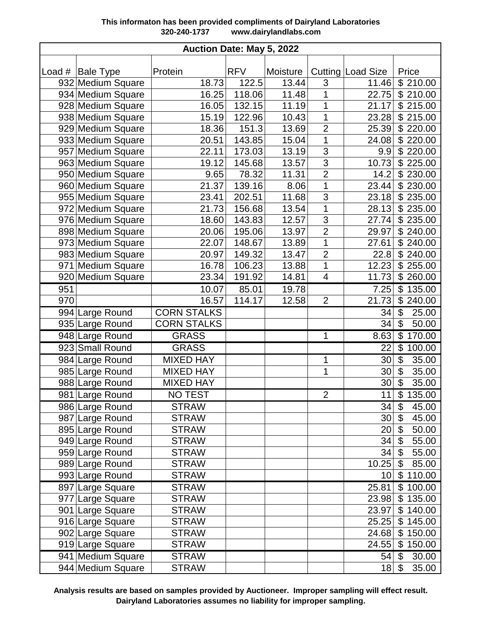| Auction Date: May 5, 2022 |                    |                    |            |          |                         |                   |                                    |  |  |
|---------------------------|--------------------|--------------------|------------|----------|-------------------------|-------------------|------------------------------------|--|--|
|                           |                    |                    |            |          |                         |                   |                                    |  |  |
|                           | Load #   Bale Type | Protein            | <b>RFV</b> | Moisture |                         | Cutting Load Size | Price                              |  |  |
|                           | 932 Medium Square  | 18.73              | 122.5      | 13.44    | 3                       | 11.46             | \$210.00                           |  |  |
|                           | 934 Medium Square  | 16.25              | 118.06     | 11.48    | 1                       | 22.75             | \$210.00                           |  |  |
|                           | 928 Medium Square  | 16.05              | 132.15     | 11.19    | 1                       | 21.17             | \$215.00                           |  |  |
|                           | 938 Medium Square  | 15.19              | 122.96     | 10.43    | 1                       | 23.28             | \$215.00                           |  |  |
|                           | 929 Medium Square  | 18.36              | 151.3      | 13.69    | $\overline{2}$          | 25.39             | \$220.00                           |  |  |
|                           | 933 Medium Square  | 20.51              | 143.85     | 15.04    | 1                       | 24.08             | \$220.00                           |  |  |
|                           | 957 Medium Square  | 22.11              | 173.03     | 13.19    | 3                       | 9.9               | \$220.00                           |  |  |
|                           | 963 Medium Square  | 19.12              | 145.68     | 13.57    | $\overline{3}$          | 10.73             | \$225.00                           |  |  |
|                           | 950 Medium Square  | 9.65               | 78.32      | 11.31    | $\overline{2}$          | 14.2              | \$230.00                           |  |  |
|                           | 960 Medium Square  | 21.37              | 139.16     | 8.06     | 1                       | 23.44             | \$230.00                           |  |  |
|                           | 955 Medium Square  | 23.41              | 202.51     | 11.68    | $\overline{3}$          | 23.18             | \$235.00                           |  |  |
|                           | 972 Medium Square  | 21.73              | 156.68     | 13.54    | $\overline{1}$          | 28.13             | \$235.00                           |  |  |
|                           | 976 Medium Square  | 18.60              | 143.83     | 12.57    | 3                       | 27.74             | \$235.00                           |  |  |
|                           | 898 Medium Square  | 20.06              | 195.06     | 13.97    | $\overline{2}$          | 29.97             | \$240.00                           |  |  |
|                           | 973 Medium Square  | 22.07              | 148.67     | 13.89    | 1                       | 27.61             | \$240.00                           |  |  |
|                           | 983 Medium Square  | 20.97              | 149.32     | 13.47    | $\overline{2}$          | 22.8              | \$240.00                           |  |  |
|                           | 971 Medium Square  | 16.78              | 106.23     | 13.88    | $\mathbf 1$             | 12.23             | \$255.00                           |  |  |
|                           | 920 Medium Square  | 23.34              | 191.92     | 14.81    | $\overline{\mathbf{4}}$ | 11.73             | \$260.00                           |  |  |
| 951                       |                    | 10.07              | 85.01      | 19.78    |                         | 7.25              | \$135.00                           |  |  |
| 970                       |                    | 16.57              | 114.17     | 12.58    | $\overline{2}$          | 21.73             | \$240.00                           |  |  |
|                           | 994 Large Round    | <b>CORN STALKS</b> |            |          |                         | 34                | \$<br>25.00                        |  |  |
|                           | 935 Large Round    | <b>CORN STALKS</b> |            |          |                         | 34                | 50.00<br>\$                        |  |  |
|                           | 948 Large Round    | <b>GRASS</b>       |            |          | 1                       | 8.63              | \$170.00                           |  |  |
|                           | 923 Small Round    | <b>GRASS</b>       |            |          |                         | 22                | \$<br>100.00                       |  |  |
|                           | 984 Large Round    | <b>MIXED HAY</b>   |            |          | 1                       | 30                | $\overline{\mathbf{G}}$<br>35.00   |  |  |
|                           | 985 Large Round    | <b>MIXED HAY</b>   |            |          | 1                       | 30                | 35.00<br>\$                        |  |  |
|                           | 988 Large Round    | <b>MIXED HAY</b>   |            |          |                         | 30                | \$<br>35.00                        |  |  |
|                           | 981 Large Round    | <b>NO TEST</b>     |            |          | $\overline{2}$          | 11                | \$135.00                           |  |  |
|                           | 986 Large Round    | <b>STRAW</b>       |            |          |                         | 34                | 45.00<br>\$                        |  |  |
|                           | 987 Large Round    | <b>STRAW</b>       |            |          |                         | 30                | 45.00<br>\$                        |  |  |
|                           | 895 Large Round    | <b>STRAW</b>       |            |          |                         | 20                | 50.00<br>\$                        |  |  |
|                           | 949 Large Round    | <b>STRAW</b>       |            |          |                         | 34                | \$<br>55.00                        |  |  |
|                           | 959 Large Round    | <b>STRAW</b>       |            |          |                         | 34                | \$<br>55.00                        |  |  |
|                           | 989 Large Round    | <b>STRAW</b>       |            |          |                         | 10.25             | $\boldsymbol{\mathsf{S}}$<br>85.00 |  |  |
|                           | 993 Large Round    | <b>STRAW</b>       |            |          |                         | 10                | \$110.00                           |  |  |
|                           | 897 Large Square   | <b>STRAW</b>       |            |          |                         | 25.81             | \$100.00                           |  |  |
|                           | 977 Large Square   | <b>STRAW</b>       |            |          |                         | 23.98             | \$135.00                           |  |  |
|                           | 901 Large Square   | <b>STRAW</b>       |            |          |                         | 23.97             | \$140.00                           |  |  |
|                           | 916 Large Square   | <b>STRAW</b>       |            |          |                         | 25.25             | \$145.00                           |  |  |
|                           | 902 Large Square   | <b>STRAW</b>       |            |          |                         | 24.68             | \$150.00                           |  |  |
|                           | 919 Large Square   | <b>STRAW</b>       |            |          |                         | 24.55             | \$150.00                           |  |  |
|                           | 941 Medium Square  | <b>STRAW</b>       |            |          |                         | 54                | 30.00<br>\$                        |  |  |
|                           | 944 Medium Square  | <b>STRAW</b>       |            |          |                         | 18                | \$<br>35.00                        |  |  |

**Analysis results are based on samples provided by Auctioneer. Improper sampling will effect result. Dairyland Laboratories assumes no liability for improper sampling.**